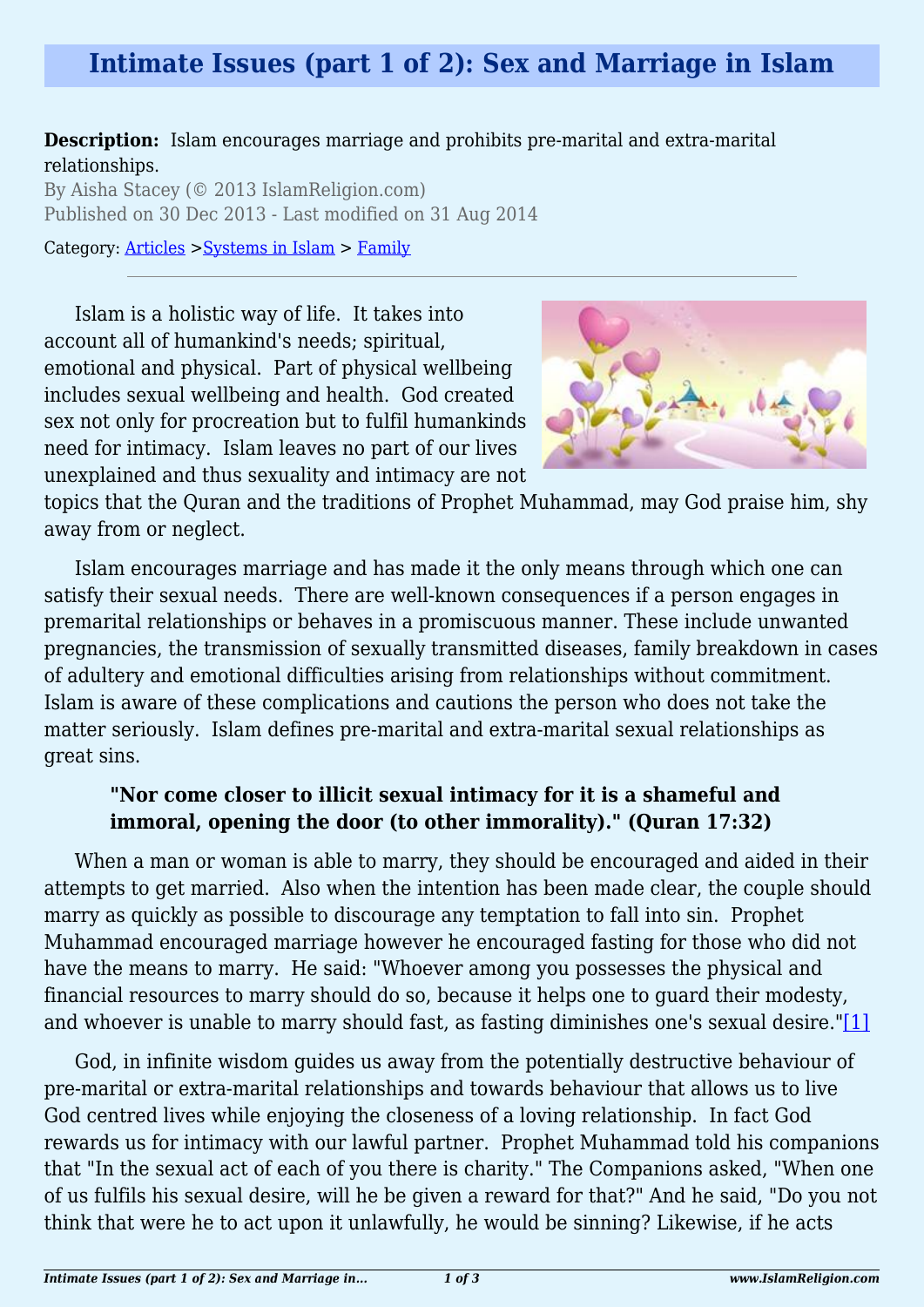# **Intimate Issues (part 1 of 2): Sex and Marriage in Islam**

#### **Description:** Islam encourages marriage and prohibits pre-marital and extra-marital relationships.

By Aisha Stacey (© 2013 IslamReligion.com) Published on 30 Dec 2013 - Last modified on 31 Aug 2014

Category: [Articles](http://www.islamreligion.com/articles/) >[Systems in Islam](http://www.islamreligion.com/category/91/) > [Family](http://www.islamreligion.com/category/93/)

Islam is a holistic way of life. It takes into account all of humankind's needs; spiritual, emotional and physical. Part of physical wellbeing includes sexual wellbeing and health. God created sex not only for procreation but to fulfil humankinds need for intimacy. Islam leaves no part of our lives unexplained and thus sexuality and intimacy are not



topics that the Quran and the traditions of Prophet Muhammad, may God praise him, shy away from or neglect.

Islam encourages marriage and has made it the only means through which one can satisfy their sexual needs. There are well-known consequences if a person engages in premarital relationships or behaves in a promiscuous manner. These include unwanted pregnancies, the transmission of sexually transmitted diseases, family breakdown in cases of adultery and emotional difficulties arising from relationships without commitment. Islam is aware of these complications and cautions the person who does not take the matter seriously. Islam defines pre-marital and extra-marital sexual relationships as great sins.

# **"Nor come closer to illicit sexual intimacy for it is a shameful and immoral, opening the door (to other immorality)." (Quran 17:32)**

When a man or woman is able to marry, they should be encouraged and aided in their attempts to get married. Also when the intention has been made clear, the couple should marry as quickly as possible to discourage any temptation to fall into sin. Prophet Muhammad encouraged marriage however he encouraged fasting for those who did not have the means to marry. He said: "Whoever among you possesses the physical and financial resources to marry should do so, because it helps one to guard their modesty, and whoever is unable to marry should fast, as fasting diminishes one's sexual desire."[\[1\]](#page-2-0)

<span id="page-0-1"></span><span id="page-0-0"></span>God, in infinite wisdom guides us away from the potentially destructive behaviour of pre-marital or extra-marital relationships and towards behaviour that allows us to live God centred lives while enjoying the closeness of a loving relationship. In fact God rewards us for intimacy with our lawful partner. Prophet Muhammad told his companions that "In the sexual act of each of you there is charity." The Companions asked, "When one of us fulfils his sexual desire, will he be given a reward for that?" And he said, "Do you not think that were he to act upon it unlawfully, he would be sinning? Likewise, if he acts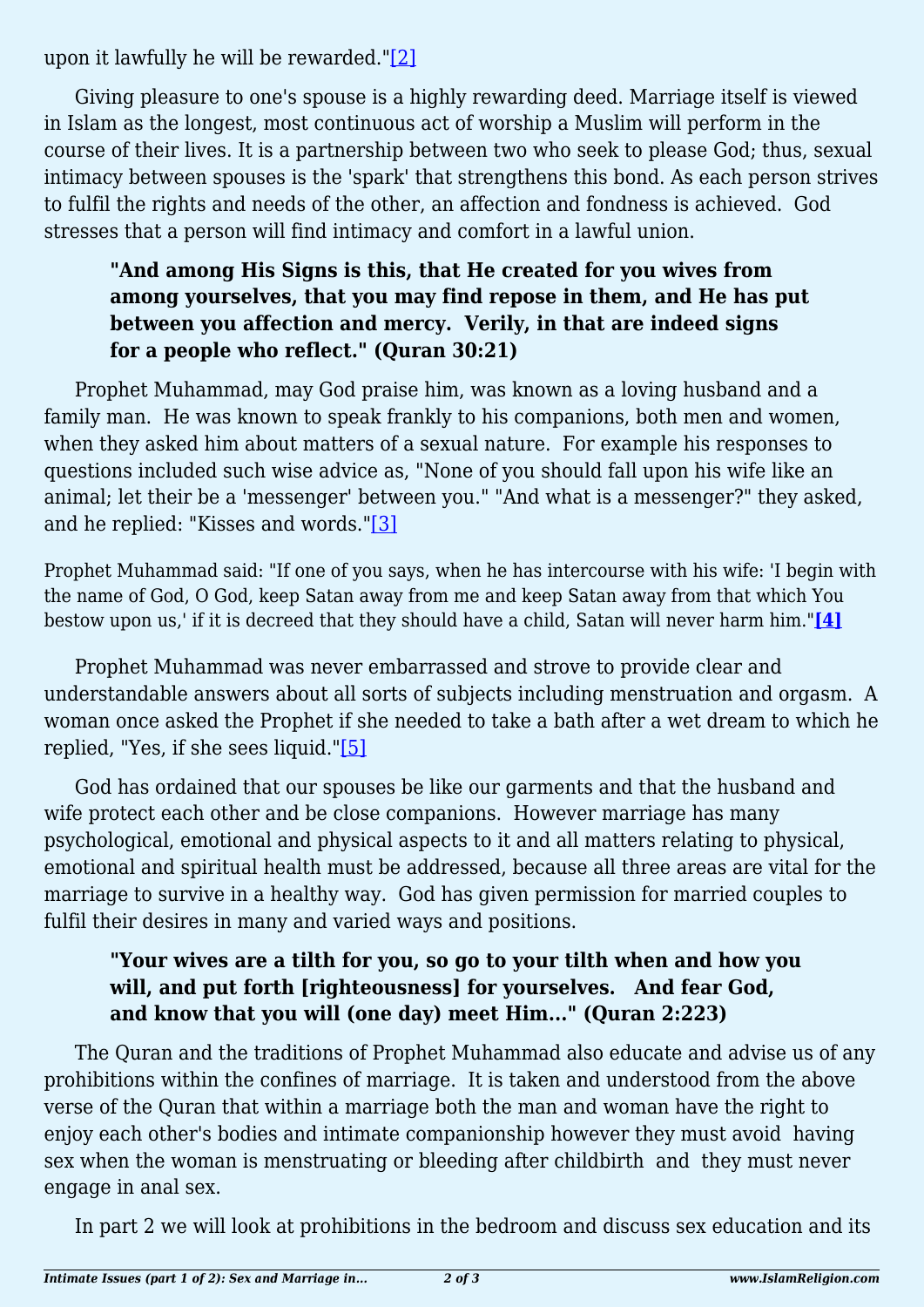upon it lawfully he will be rewarded."[\[2\]](#page-2-1)

Giving pleasure to one's spouse is a highly rewarding deed. Marriage itself is viewed in Islam as the longest, most continuous act of worship a Muslim will perform in the course of their lives. It is a partnership between two who seek to please God; thus, sexual intimacy between spouses is the 'spark' that strengthens this bond. As each person strives to fulfil the rights and needs of the other, an affection and fondness is achieved. God stresses that a person will find intimacy and comfort in a lawful union.

## **"And among His Signs is this, that He created for you wives from among yourselves, that you may find repose in them, and He has put between you affection and mercy. Verily, in that are indeed signs for a people who reflect." (Quran 30:21)**

Prophet Muhammad, may God praise him, was known as a loving husband and a family man. He was known to speak frankly to his companions, both men and women, when they asked him about matters of a sexual nature. For example his responses to questions included such wise advice as, "None of you should fall upon his wife like an animal; let their be a 'messenger' between you." "And what is a messenger?" they asked, and he replied: "Kisses and words.["\[3\]](#page-2-2)

<span id="page-1-0"></span>Prophet Muhammad said: "If one of you says, when he has intercourse with his wife: 'I begin with the name of God, O God, keep Satan away from me and keep Satan away from that which You bestow upon us,' if it is decreed that they should have a child, Satan will never harm him."**[\[4\]](#page-2-3)**

<span id="page-1-1"></span>Prophet Muhammad was never embarrassed and strove to provide clear and understandable answers about all sorts of subjects including menstruation and orgasm. A woman once asked the Prophet if she needed to take a bath after a wet dream to which he replied, "Yes, if she sees liquid.["\[5\]](#page-2-4)

<span id="page-1-2"></span>God has ordained that our spouses be like our garments and that the husband and wife protect each other and be close companions. However marriage has many psychological, emotional and physical aspects to it and all matters relating to physical, emotional and spiritual health must be addressed, because all three areas are vital for the marriage to survive in a healthy way. God has given permission for married couples to fulfil their desires in many and varied ways and positions.

## **"Your wives are a tilth for you, so go to your tilth when and how you will, and put forth [righteousness] for yourselves. And fear God, and know that you will (one day) meet Him..." (Quran 2:223)**

The Quran and the traditions of Prophet Muhammad also educate and advise us of any prohibitions within the confines of marriage. It is taken and understood from the above verse of the Quran that within a marriage both the man and woman have the right to enjoy each other's bodies and intimate companionship however they must avoid having sex when the woman is menstruating or bleeding after childbirth and they must never engage in anal sex.

In part 2 we will look at prohibitions in the bedroom and discuss sex education and its